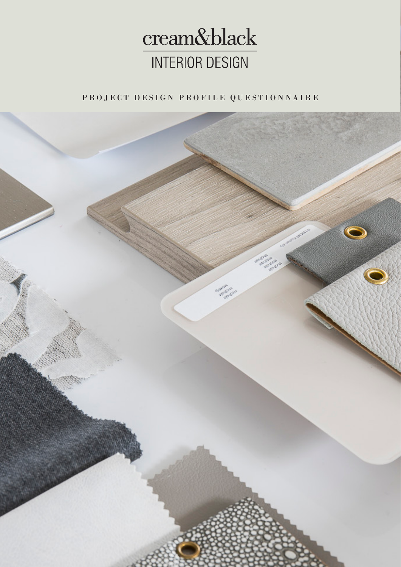

PROJECT DESIGN PROFILE QUESTIONNAIRE

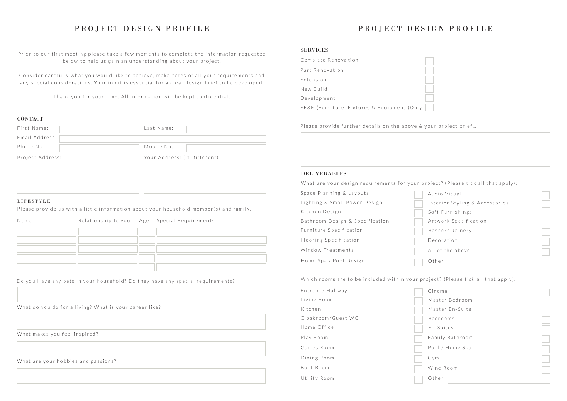# PROJECT DESIGN PROFILE

Prior to our first meeting please take a few moments to complete the information requested below to help us gain an understanding about your project.

Consider carefully what you would like to achieve, make notes of all your requirements and any special considerations. Your input is essential for a clear design brief to be developed.

Thank you for your time. All information will be kept confidential.

#### **CONTACT**

# PROJECT DESIGN PROFILE

| First Name:      |  | Last Name:                   |  |
|------------------|--|------------------------------|--|
| Email Address:   |  |                              |  |
| Phone No.        |  | Mobile No.                   |  |
| Project Address: |  | Your Address: (If Different) |  |
|                  |  |                              |  |
|                  |  |                              |  |

### LIFESTYLE

Please provide us with a little information about your household member(s) and family,

| Cinema          |  |
|-----------------|--|
| Master Bedroom  |  |
| Master En-Suite |  |
| Bedrooms        |  |
| En-Suites       |  |
| Family Bathroom |  |
| Pool / Home Spa |  |
| Gym             |  |
| Wine Room       |  |
|                 |  |
| Other           |  |
|                 |  |

| Name |  | Relationship to you Age Special Requirements |
|------|--|----------------------------------------------|
|      |  |                                              |
|      |  |                                              |
|      |  |                                              |
|      |  |                                              |
|      |  |                                              |

### SERVICES

| Complete Renovation                         |  |
|---------------------------------------------|--|
| Part Renovation                             |  |
| Extension                                   |  |
| New Build                                   |  |
| Development                                 |  |
| FF&E (Furniture, Fixtures & Equipment )Only |  |

Please provide further details on the above & your project brief...

#### DELIVERABLES

| <b>DELIVERABLES</b>                                                               |                                |  |  |  |  |
|-----------------------------------------------------------------------------------|--------------------------------|--|--|--|--|
| What are your design requirements for your project? (Please tick all that apply): |                                |  |  |  |  |
| Space Planning & Layouts                                                          | Audio Visual                   |  |  |  |  |
| Lighting & Small Power Design                                                     | Interior Styling & Accessories |  |  |  |  |
| Kitchen Design                                                                    | Soft Furnishings               |  |  |  |  |
| Bathroom Design & Specification                                                   | Artwork Specification          |  |  |  |  |
| Furniture Specification                                                           | Bespoke Joinery                |  |  |  |  |
| Flooring Specification                                                            | Decoration                     |  |  |  |  |
| Window Treatments                                                                 | All of the above               |  |  |  |  |
| Home Spa / Pool Design                                                            | Other                          |  |  |  |  |
| Which rooms are to be included within your project? (Please tick all that apply): |                                |  |  |  |  |

| Entrance Hallway   |  | Cinema          |  |
|--------------------|--|-----------------|--|
| Living Room        |  | Master Bedroom  |  |
| Kitchen            |  | Master En-Suite |  |
| Cloakroom/Guest WC |  | Bedrooms        |  |
| Home Office        |  | En-Suites       |  |
| Play Room          |  | Family Bathroom |  |
| Games Room         |  | Pool / Home Spa |  |
| Dining Room        |  | Gym             |  |
| Boot Room          |  | Wine Room       |  |
| Utility Room       |  | Other           |  |
|                    |  |                 |  |



What do you do for a living? What is your career like?

What makes you feel inspired?

What are your hobbies and passions?

Do you Have any pets in your household? Do they have any special requirements?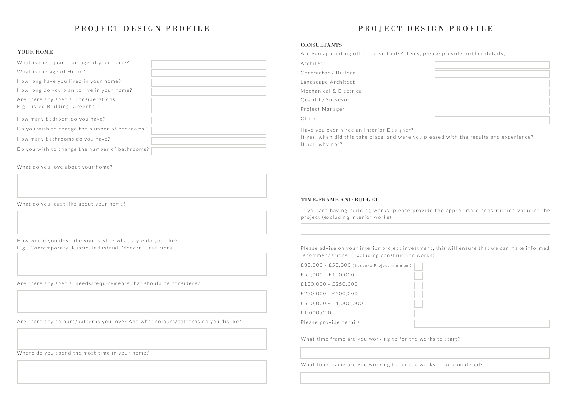| £30,000 - £50,000 (Bespoke Project minimum) |  |
|---------------------------------------------|--|
| $£50,000 - £100,000$                        |  |
| $£100,000 - £250,000$                       |  |
| $£250.000 - £500.000$                       |  |
| $£500.000 - £1.000.000$                     |  |
| £1,000,000 +                                |  |
| Please provide details                      |  |

What time frame are you working to for the works to start?

| What is the square footage of your home?                                 |  |
|--------------------------------------------------------------------------|--|
| What is the age of Home?                                                 |  |
| How long have you lived in your home?                                    |  |
| How long do you plan to live in your home?                               |  |
| Are there any special considerations?<br>E.g. Listed Building, Greenbelt |  |
| How many bedroom do you have?                                            |  |
| Do you wish to change the number of bedrooms?                            |  |
| How many bathrooms do you have?                                          |  |
| Do you wish to change the number of bathrooms?                           |  |

How would you describe your style / what style do you like? E.g.. Contemporary, Rustic, Industrial, Modern, Traditional…

## PROJECT DESIGN PROFILE

#### YOUR HOME

## PROJECT DESIGN PROFILE

#### **CONSULTANTS**

What do you love about your home?

What do you least like about your home?

Are there any special needs/requirements that should be considered?

Are there any colours/patterns you love? And what colours/patterns do you dislike?

| Are you appointing other consultants? If yes, p                                                                   |
|-------------------------------------------------------------------------------------------------------------------|
| Architect                                                                                                         |
| Contractor / Builder                                                                                              |
| Landscape Architect                                                                                               |
| Mechanical & Electrical                                                                                           |
| Quantity Surveyor                                                                                                 |
| Project Manager                                                                                                   |
| Other                                                                                                             |
| Have you ever hired an Interior Designer?<br>If yes, when did this take place, and were you p<br>If not, why not? |
|                                                                                                                   |

#### TIME-FRAME AND BUDGET

If you are having building works, please provide the approximate construction value of the project (excluding interior works)

Please advise on your interior project investment, this will ensure that we can make informed recommendations. (Excluding construction works)

What time frame are you working to for the works to be completed?

blease provide further details;

I f a sed with the results and experience?

Where do you spend the most time in your home?